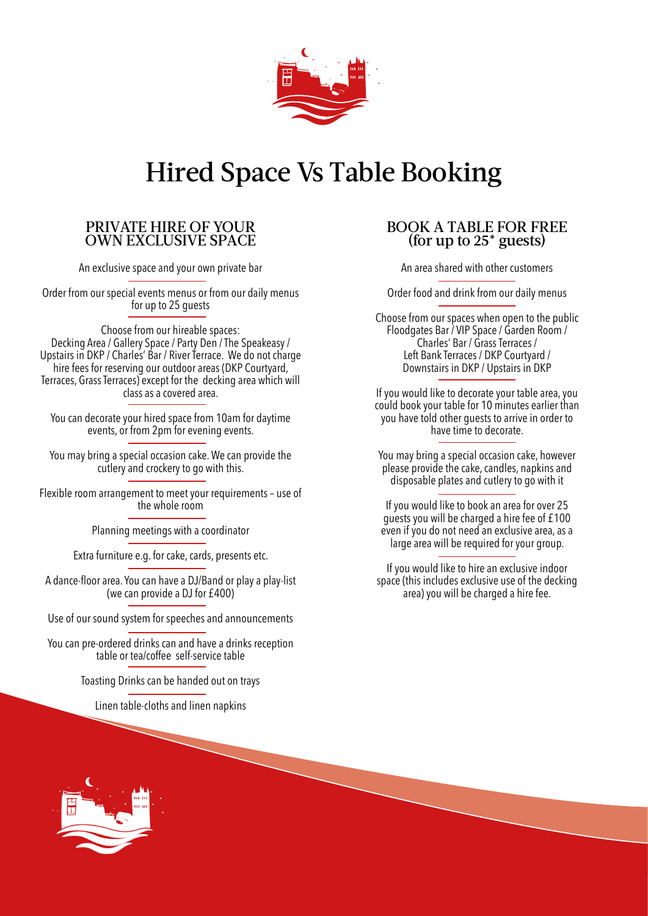

## Hired Space Vs Table Booking

### PRIVATE HIRE OF YOUR OWN EXCLUSIVE SPACE

An exclusive space and your own private bar

Order from our special events menus or from our daily menus for up to 25 quests

Choose from our hireable spaces: Decking Area / Gallery Space / Party Den / The Speakeasy / Upstairs in DKP / Charles' Bar / River Terrace. We do not charge hire fees for reserving our outdoor areas (DKP Courtyard, Terraces, Grass Terraces) except for the decking area which will class as a covered area.

You can decorate your hired space from 10am for daytime events, or from 2pm for evening events.

You may bring a special occasion cake. We can provide the cutlery and crockery to go with this.

Flexible room arrangement to meet your requirements – use of the whole room

Planning meetings with a coordinator

Extra furniture e.g. for cake, cards, presents etc.

A dance-floor area. You can have a DJ/Band or play a play-list (we can provide a DJ for £400)

Use of our sound system for speeches and announcements

You can pre-ordered drinks can and have a drinks reception table or tea/coffee self-service table

Toasting Drinks can be handed out on trays

Linen table-cloths and linen napkins

### BOOK A TABLE FOR FREE (for up to 25\* guests)

An area shared with other customers

Order food and drink from our daily menus

Choose from our spaces when open to the public Floodgates Bar / VIP Space / Garden Room / Charles' Bar / Grass Terraces / Left Bank Terraces / DKP Courtyard / Downstairs in DKP / Upstairs in DKP

If you would like to decorate your table area, you could book your table for 10 minutes earlier than you have told other guests to arrive in order to have time to decorate.

You may bring a special occasion cake, however please provide the cake, candles, napkins and disposable plates and cutlery to go with it

If you would like to book an area for over 25 guests you will be charged a hire fee of £100 even if you do not need an exclusive area, as a large area will be required for your group.

If you would like to hire an exclusive indoor space (this includes exclusive use of the decking area) you will be charged a hire fee.